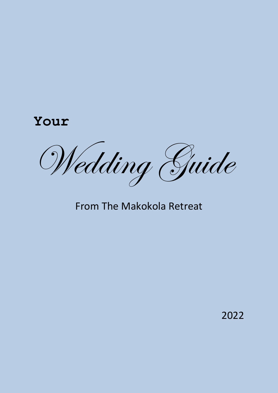# **Your**

Wedding Guide

## From The Makokola Retreat

2022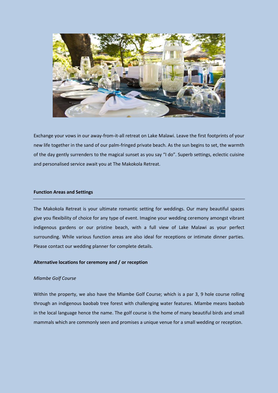

Exchange your vows in our away-from-it-all retreat on Lake Malawi. Leave the first footprints of your new life together in the sand of our palm-fringed private beach. As the sun begins to set, the warmth of the day gently surrenders to the magical sunset as you say "I do". Superb settings, eclectic cuisine and personalised service await you at The Makokola Retreat.

## **Function Areas and Settings**

The Makokola Retreat is your ultimate romantic setting for weddings. Our many beautiful spaces give you flexibility of choice for any type of event. Imagine your wedding ceremony amongst vibrant indigenous gardens or our pristine beach, with a full view of Lake Malawi as your perfect surrounding. While various function areas are also ideal for receptions or intimate dinner parties. Please contact our wedding planner for complete details.

## **Alternative locations for ceremony and / or reception**

## *Mlambe Golf Course*

Within the property, we also have the Mlambe Golf Course; which is a par 3, 9 hole course rolling through an indigenous baobab tree forest with challenging water features. Mlambe means baobab in the local language hence the name. The golf course is the home of many beautiful birds and small mammals which are commonly seen and promises a unique venue for a small wedding or reception.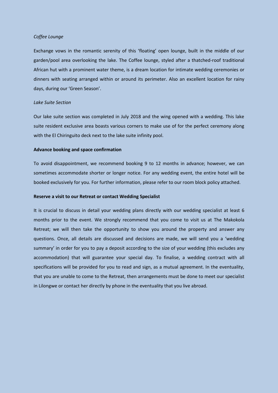## *Coffee Lounge*

Exchange vows in the romantic serenity of this 'floating' open lounge, built in the middle of our garden/pool area overlooking the lake. The Coffee lounge, styled after a thatched-roof traditional African hut with a prominent water theme, is a dream location for intimate wedding ceremonies or dinners with seating arranged within or around its perimeter. Also an excellent location for rainy days, during our 'Green Season'.

#### *Lake Suite Section*

Our lake suite section was completed in July 2018 and the wing opened with a wedding. This lake suite resident exclusive area boasts various corners to make use of for the perfect ceremony along with the El Chiringuito deck next to the lake suite infinity pool.

#### **Advance booking and space confirmation**

To avoid disappointment, we recommend booking 9 to 12 months in advance; however, we can sometimes accommodate shorter or longer notice. For any wedding event, the entire hotel will be booked exclusively for you. For further information, please refer to our room block policy attached.

#### **Reserve a visit to our Retreat or contact Wedding Specialist**

It is crucial to discuss in detail your wedding plans directly with our wedding specialist at least 6 months prior to the event. We strongly recommend that you come to visit us at The Makokola Retreat; we will then take the opportunity to show you around the property and answer any questions. Once, all details are discussed and decisions are made, we will send you a 'wedding summary' in order for you to pay a deposit according to the size of your wedding (this excludes any accommodation) that will guarantee your special day. To finalise, a wedding contract with all specifications will be provided for you to read and sign, as a mutual agreement. In the eventuality, that you are unable to come to the Retreat, then arrangements must be done to meet our specialist in Lilongwe or contact her directly by phone in the eventuality that you live abroad.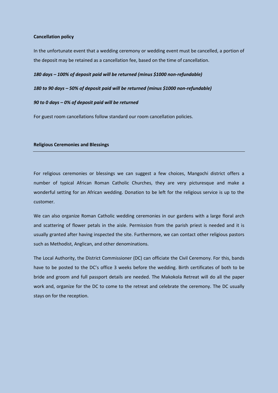## **Cancellation policy**

In the unfortunate event that a wedding ceremony or wedding event must be cancelled, a portion of the deposit may be retained as a cancellation fee, based on the time of cancellation.

#### *180 days – 100% of deposit paid will be returned (minus \$1000 non-refundable)*

#### *180 to 90 days – 50% of deposit paid will be returned (minus \$1000 non-refundable)*

#### *90 to 0 days – 0% of deposit paid will be returned*

For guest room cancellations follow standard our room cancellation policies.

## **Religious Ceremonies and Blessings**

For religious ceremonies or blessings we can suggest a few choices, Mangochi district offers a number of typical African Roman Catholic Churches, they are very picturesque and make a wonderful setting for an African wedding. Donation to be left for the religious service is up to the customer.

We can also organize Roman Catholic wedding ceremonies in our gardens with a large floral arch and scattering of flower petals in the aisle. Permission from the parish priest is needed and it is usually granted after having inspected the site. Furthermore, we can contact other religious pastors such as Methodist, Anglican, and other denominations.

The Local Authority, the District Commissioner (DC) can officiate the Civil Ceremony. For this, bands have to be posted to the DC's office 3 weeks before the wedding. Birth certificates of both to be bride and groom and full passport details are needed. The Makokola Retreat will do all the paper work and, organize for the DC to come to the retreat and celebrate the ceremony. The DC usually stays on for the reception.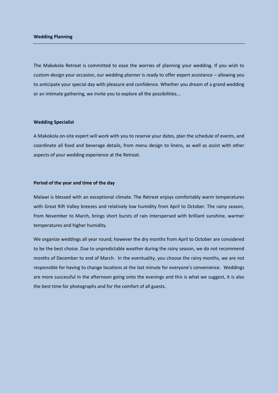#### **Wedding Planning**

The Makokola Retreat is committed to ease the worries of planning your wedding. If you wish to custom-design your occasion, our wedding planner is ready to offer expert assistance – allowing you to anticipate your special day with pleasure and confidence. Whether you dream of a grand wedding or an intimate gathering, we invite you to explore all the possibilities...

#### **Wedding Specialist**

A Makokola on-site expert will work with you to reserve your dates, plan the schedule of events, and coordinate all food and beverage details, from menu design to linens, as well as assist with other aspects of your wedding experience at the Retreat.

#### **Period of the year and time of the day**

Malawi is blessed with an exceptional climate. The Retreat enjoys comfortably warm temperatures with Great Rift Valley breezes and relatively low humidity from April to October. The rainy season, from November to March, brings short bursts of rain interspersed with brilliant sunshine, warmer temperatures and higher humidity.

We organize weddings all year round; however the dry months from April to October are considered to be the best choice. Due to unpredictable weather during the rainy season, we do not recommend months of December to end of March. In the eventuality, you choose the rainy months, we are not responsible for having to change locations at the last minute for everyone's convenience. Weddings are more successful in the afternoon going onto the evenings and this is what we suggest, it is also the best time for photographs and for the comfort of all guests.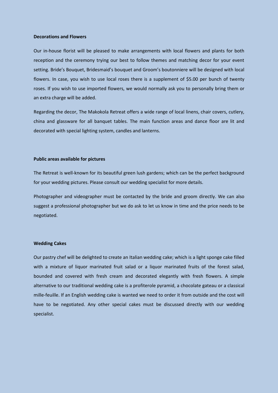#### **Decorations and Flowers**

Our in-house florist will be pleased to make arrangements with local flowers and plants for both reception and the ceremony trying our best to follow themes and matching decor for your event setting. Bride's Bouquet, Bridesmaid's bouquet and Groom's boutonniere will be designed with local flowers. In case, you wish to use local roses there is a supplement of \$5.00 per bunch of twenty roses. If you wish to use imported flowers, we would normally ask you to personally bring them or an extra charge will be added.

Regarding the decor, The Makokola Retreat offers a wide range of local linens, chair covers, cutlery, china and glassware for all banquet tables. The main function areas and dance floor are lit and decorated with special lighting system, candles and lanterns.

#### **Public areas available for pictures**

The Retreat is well-known for its beautiful green lush gardens; which can be the perfect background for your wedding pictures. Please consult our wedding specialist for more details.

Photographer and videographer must be contacted by the bride and groom directly. We can also suggest a professional photographer but we do ask to let us know in time and the price needs to be negotiated.

## **Wedding Cakes**

Our pastry chef will be delighted to create an Italian wedding cake; which is a light sponge cake filled with a mixture of liquor marinated fruit salad or a liquor marinated fruits of the forest salad, bounded and covered with fresh cream and decorated elegantly with fresh flowers. A simple alternative to our traditional wedding cake is a profiterole pyramid, a chocolate gateau or a classical mille-feuille. If an English wedding cake is wanted we need to order it from outside and the cost will have to be negotiated. Any other special cakes must be discussed directly with our wedding specialist.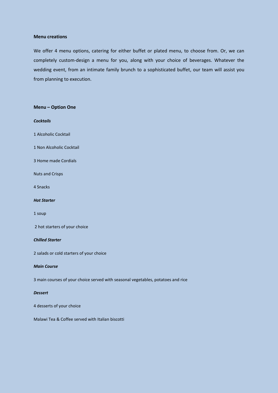#### **Menu creations**

We offer 4 menu options, catering for either buffet or plated menu, to choose from. Or, we can completely custom-design a menu for you, along with your choice of beverages. Whatever the wedding event, from an intimate family brunch to a sophisticated buffet, our team will assist you from planning to execution.

## **Menu – Option One**

## *Cocktails*

- 1 Alcoholic Cocktail
- 1 Non Alcoholic Cocktail
- 3 Home made Cordials
- Nuts and Crisps
- 4 Snacks

#### *Hot Starter*

1 soup

2 hot starters of your choice

#### *Chilled Starter*

2 salads or cold starters of your choice

#### *Main Course*

3 main courses of your choice served with seasonal vegetables, potatoes and rice

#### *Dessert*

4 desserts of your choice

Malawi Tea & Coffee served with Italian biscotti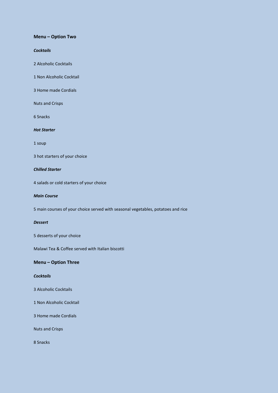#### **Menu – Option Two**

## *Cocktails*

2 Alcoholic Cocktails

1 Non Alcoholic Cocktail

3 Home made Cordials

Nuts and Crisps

6 Snacks

## *Hot Starter*

1 soup

3 hot starters of your choice

## *Chilled Starter*

4 salads or cold starters of your choice

#### *Main Course*

5 main courses of your choice served with seasonal vegetables, potatoes and rice

## *Dessert*

5 desserts of your choice

Malawi Tea & Coffee served with Italian biscotti

## **Menu – Option Three**

## *Cocktails*

- 3 Alcoholic Cocktails
- 1 Non Alcoholic Cocktail

3 Home made Cordials

Nuts and Crisps

8 Snacks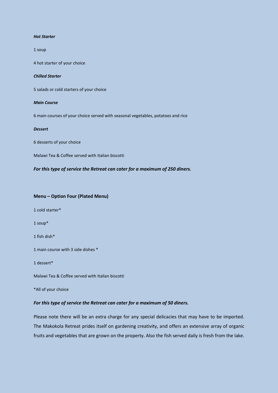#### *Hot Starter*

1 soup

4 hot starter of your choice

#### *Chilled Starter*

5 salads or cold starters of your choice

#### *Main Course*

6 main courses of your choice served with seasonal vegetables, potatoes and rice

#### *Dessert*

6 desserts of your choice

Malawi Tea & Coffee served with Italian biscotti

## *For this type of service the Retreat can cater for a maximum of 250 diners.*

## **Menu – Option Four (Plated Menu)**

1 cold starter\*

1 soup\*

1 fish dish\*

1 main course with 3 side dishes \*

1 dessert\*

Malawi Tea & Coffee served with Italian biscotti

\*All of your choice

#### *For this type of service the Retreat can cater for a maximum of 50 diners.*

Please note there will be an extra charge for any special delicacies that may have to be imported. The Makokola Retreat prides itself on gardening creativity, and offers an extensive array of organic fruits and vegetables that are grown on the property. Also the fish served daily is fresh from the lake.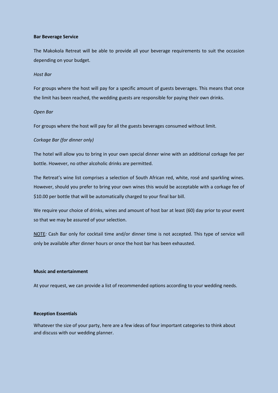#### **Bar Beverage Service**

The Makokola Retreat will be able to provide all your beverage requirements to suit the occasion depending on your budget.

#### *Host Bar*

For groups where the host will pay for a specific amount of guests beverages. This means that once the limit has been reached, the wedding guests are responsible for paying their own drinks.

## *Open Bar*

For groups where the host will pay for all the guests beverages consumed without limit.

## *Corkage Bar (for dinner only)*

The hotel will allow you to bring in your own special dinner wine with an additional corkage fee per bottle. However, no other alcoholic drinks are permitted.

The Retreat's wine list comprises a selection of South African red, white, rosé and sparkling wines. However, should you prefer to bring your own wines this would be acceptable with a corkage fee of \$10.00 per bottle that will be automatically charged to your final bar bill.

We require your choice of drinks, wines and amount of host bar at least (60) day prior to your event so that we may be assured of your selection.

NOTE*:* Cash Bar only for cocktail time and/or dinner time is not accepted. This type of service will only be available after dinner hours or once the host bar has been exhausted.

#### **Music and entertainment**

At your request, we can provide a list of recommended options according to your wedding needs.

#### **Reception Essentials**

Whatever the size of your party, here are a few ideas of four important categories to think about and discuss with our wedding planner.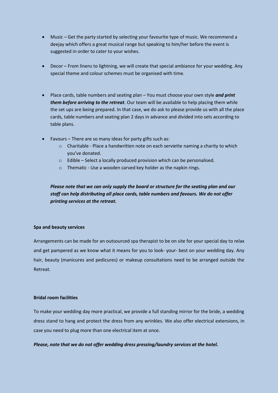- Music Get the party started by selecting your favourite type of music. We recommend a deejay which offers a great musical range but speaking to him/her before the event is suggested in order to cater to your wishes.
- Decor From linens to lightning, we will create that special ambiance for your wedding. Any special theme and colour schemes must be organised with time.
- Place cards, table numbers and seating plan You must choose your own style *and print them before arriving to the retreat*. Our team will be available to help placing them while the set ups are being prepared. In that case, we do ask to please provide us with all the place cards, table numbers and seating plan 2 days in advance and divided into sets according to table plans.
- Favours There are so many ideas for party gifts such as:
	- $\circ$  Charitable Place a handwritten note on each serviette naming a charity to which you've donated.
	- o Edible Select a locally produced provision which can be personalised.
	- o Thematic Use a wooden carved key holder as the napkin rings.

*Please note that we can only supply the board or structure for the seating plan and our staff can help distributing all place cards, table numbers and favours. We do not offer printing services at the retreat.*

## **Spa and beauty services**

Arrangements can be made for an outsourced spa therapist to be on site for your special day to relax and get pampered as we know what it means for you to look- your- best on your wedding day. Any hair, beauty (manicures and pedicures) or makeup consultations need to be arranged outside the Retreat.

### **Bridal room facilities**

To make your wedding day more practical, we provide a full standing mirror for the bride, a wedding dress stand to hang and protect the dress from any wrinkles. We also offer electrical extensions, in case you need to plug more than one electrical item at once.

## *Please, note that we do not offer wedding dress pressing/laundry services at the hotel.*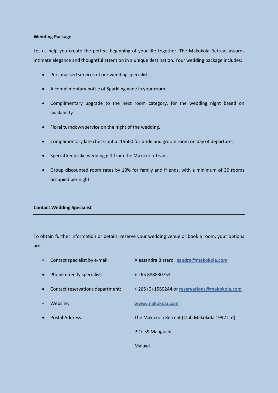## **Wedding Package**

Let us help you create the perfect beginning of your life together. The Makokola Retreat assures intimate elegance and thoughtful attention in a unique destination. Your wedding package includes:

- Personalised services of our wedding specialist.
- A complimentary bottle of Sparkling wine in your room
- Complimentary upgrade to the next room category, for the wedding night based on availability.
- Floral turndown service on the night of the wedding.
- Complimentary late check-out at 15h00 for bride and groom room on day of departure.
- Special keepsake wedding gift from the Makokola Team.
- Group discounted room rates by 10% for family and friends, with a minimum of 30 rooms occupied per night.

## **Contact Wedding Specialist**

To obtain further information or details, reserve your wedding venue or book a room, your options are:

| $\bullet$ | Contact specialist by e-mail:    | Alessandra Bizzaro sandra@makokola.com        |
|-----------|----------------------------------|-----------------------------------------------|
| $\bullet$ | Phone directly specialist:       | +265888830753                                 |
| $\bullet$ | Contact reservations department: | +265 (0) 1580244 or reservations@makokola.com |
| $\bullet$ | Website:                         | www.makokola.com                              |
| $\bullet$ | Postal Address:                  | The Makokola Retreat (Club Makokola 1992 Ltd) |
|           |                                  | P.O. 59 Mangochi                              |
|           |                                  | Malawi                                        |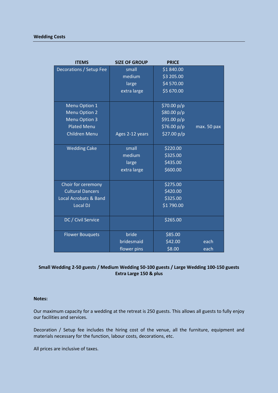## **Wedding Costs**

| <b>ITEMS</b>                     | <b>SIZE OF GROUP</b> | <b>PRICE</b> |             |
|----------------------------------|----------------------|--------------|-------------|
| Decorations / Setup Fee          | small                | \$1840.00    |             |
|                                  | medium               | \$3 205.00   |             |
|                                  | large                | \$4 570.00   |             |
|                                  | extra large          | \$5 670.00   |             |
| Menu Option 1                    |                      | \$70.00 p/p  |             |
| <b>Menu Option 2</b>             |                      | \$80.00 p/p  |             |
| <b>Menu Option 3</b>             |                      | \$91.00 p/p  |             |
| <b>Plated Menu</b>               |                      | \$76.00 p/p  | max. 50 pax |
| <b>Children Menu</b>             | Ages 2-12 years      | \$27.00 p/p  |             |
| <b>Wedding Cake</b>              | small                | \$220.00     |             |
|                                  | medium               | \$325.00     |             |
|                                  | large                | \$435.00     |             |
|                                  | extra large          | \$600.00     |             |
|                                  |                      |              |             |
| Choir for ceremony               |                      | \$275.00     |             |
| <b>Cultural Dancers</b>          |                      | \$420.00     |             |
| <b>Local Acrobats &amp; Band</b> |                      | \$325.00     |             |
| Local DJ                         |                      | \$1790.00    |             |
|                                  |                      |              |             |
| DC / Civil Service               |                      | \$265.00     |             |
| <b>Flower Bouquets</b>           | bride                | \$85.00      |             |
|                                  | bridesmaid           | \$42.00      | each        |
|                                  | flower pins          | \$8.00       | each        |

## **Small Wedding 2-50 guests / Medium Wedding 50-100 guests / Large Wedding 100-150 guests Extra Large 150 & plus**

## **Notes:**

Our maximum capacity for a wedding at the retreat is 250 guests. This allows all guests to fully enjoy our facilities and services.

Decoration / Setup fee includes the hiring cost of the venue, all the furniture, equipment and materials necessary for the function, labour costs, decorations, etc.

All prices are inclusive of taxes.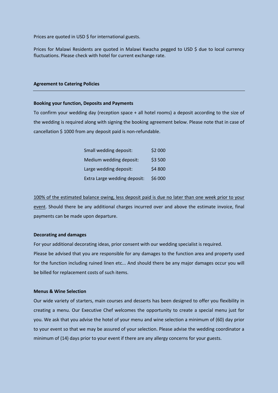Prices are quoted in USD \$ for international guests.

Prices for Malawi Residents are quoted in Malawi Kwacha pegged to USD \$ due to local currency fluctuations. Please check with hotel for current exchange rate.

## **Agreement to Catering Policies**

#### **Booking your function, Deposits and Payments**

To confirm your wedding day (reception space + all hotel rooms) a deposit according to the size of the wedding is required along with signing the booking agreement below. Please note that in case of cancellation \$ 1000 from any deposit paid is non-refundable.

| Small wedding deposit:       | \$2 000 |
|------------------------------|---------|
| Medium wedding deposit:      | \$3 500 |
| Large wedding deposit:       | \$4 800 |
| Extra Large wedding deposit: | \$6 000 |

100% of the estimated balance owing, less deposit paid is due no later than one week prior to your event. Should there be any additional charges incurred over and above the estimate invoice, final payments can be made upon departure.

## **Decorating and damages**

For your additional decorating ideas, prior consent with our wedding specialist is required. Please be advised that you are responsible for any damages to the function area and property used for the function including ruined linen etc... And should there be any major damages occur you will be billed for replacement costs of such items.

#### **Menus & Wine Selection**

Our wide variety of starters, main courses and desserts has been designed to offer you flexibility in creating a menu. Our Executive Chef welcomes the opportunity to create a special menu just for you. We ask that you advise the hotel of your menu and wine selection a minimum of (60) day prior to your event so that we may be assured of your selection. Please advise the wedding coordinator a minimum of (14) days prior to your event if there are any allergy concerns for your guests.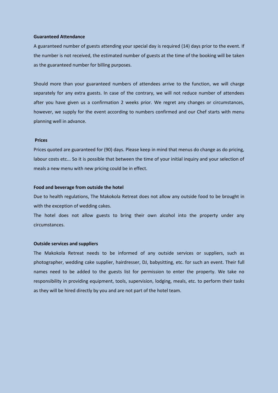#### **Guaranteed Attendance**

A guaranteed number of guests attending your special day is required (14) days prior to the event. If the number is not received, the estimated number of guests at the time of the booking will be taken as the guaranteed number for billing purposes.

Should more than your guaranteed numbers of attendees arrive to the function, we will charge separately for any extra guests. In case of the contrary, we will not reduce number of attendees after you have given us a confirmation 2 weeks prior. We regret any changes or circumstances, however, we supply for the event according to numbers confirmed and our Chef starts with menu planning well in advance.

#### **Prices**

Prices quoted are guaranteed for (90) days. Please keep in mind that menus do change as do pricing, labour costs etc... So it is possible that between the time of your initial inquiry and your selection of meals a new menu with new pricing could be in effect.

#### **Food and beverage from outside the hotel**

Due to health regulations, The Makokola Retreat does not allow any outside food to be brought in with the exception of wedding cakes.

The hotel does not allow guests to bring their own alcohol into the property under any circumstances.

#### **Outside services and suppliers**

The Makokola Retreat needs to be informed of any outside services or suppliers, such as photographer, wedding cake supplier, hairdresser, DJ, babysitting, etc. for such an event. Their full names need to be added to the guests list for permission to enter the property. We take no responsibility in providing equipment, tools, supervision, lodging, meals, etc. to perform their tasks as they will be hired directly by you and are not part of the hotel team.